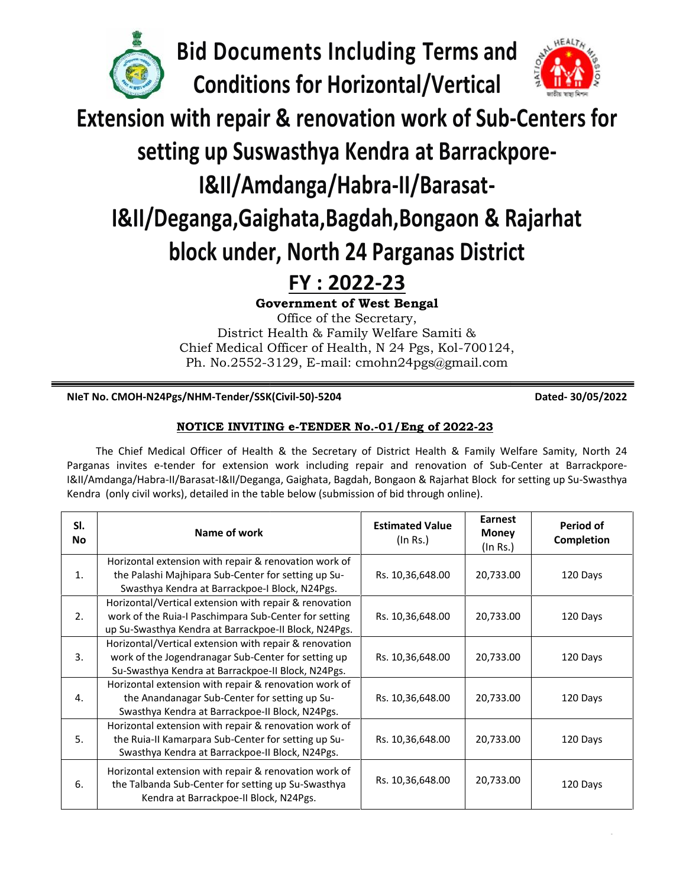

**Bid Documents Including Terms and**



# **setting up Suswasthya Kendra at Barrackpore-**

## **I&II/Amdanga/Habra-II/Barasat-**

# **I&II/Deganga,Gaighata,Bagdah,Bongaon & Rajarhat block under, North 24 Parganas District under,**

## **FY : 2022-23**

#### **NIeT No. CMOH-N24Pgs/NHM-Tender/SSK(Civil-50)-5204 Dated- 30/05/2022**

### **NOTICE INVITING e-TENDER No.-01/Eng of 2022-23 INVITING**

| <b>Bid Documents Including Terms and</b>                               |                                                                                                                                                                                                                                                                                                                                                                                                                                           |                                    |                                            |                         |
|------------------------------------------------------------------------|-------------------------------------------------------------------------------------------------------------------------------------------------------------------------------------------------------------------------------------------------------------------------------------------------------------------------------------------------------------------------------------------------------------------------------------------|------------------------------------|--------------------------------------------|-------------------------|
| <b>Conditions for Horizontal/Vertical</b>                              |                                                                                                                                                                                                                                                                                                                                                                                                                                           |                                    |                                            |                         |
| <b>Extension with repair &amp; renovation work of Sub-Centers for</b>  |                                                                                                                                                                                                                                                                                                                                                                                                                                           |                                    |                                            |                         |
|                                                                        | setting up Suswasthya Kendra at Barrackpore-                                                                                                                                                                                                                                                                                                                                                                                              |                                    |                                            |                         |
|                                                                        |                                                                                                                                                                                                                                                                                                                                                                                                                                           |                                    |                                            |                         |
|                                                                        | <b>I&amp;II/Amdanga/Habra-II/Barasat-</b>                                                                                                                                                                                                                                                                                                                                                                                                 |                                    |                                            |                         |
| <b>I&amp;II/Deganga, Gaighata, Bagdah, Bongaon &amp; Rajarhat</b>      |                                                                                                                                                                                                                                                                                                                                                                                                                                           |                                    |                                            |                         |
|                                                                        | block under, North 24 Parganas District                                                                                                                                                                                                                                                                                                                                                                                                   |                                    |                                            |                         |
|                                                                        | FY: 2022-23                                                                                                                                                                                                                                                                                                                                                                                                                               |                                    |                                            |                         |
|                                                                        | <b>Government of West Bengal</b><br>Office of the Secretary,                                                                                                                                                                                                                                                                                                                                                                              |                                    |                                            |                         |
|                                                                        | District Health & Family Welfare Samiti &                                                                                                                                                                                                                                                                                                                                                                                                 |                                    |                                            |                         |
|                                                                        | Chief Medical Officer of Health, N 24 Pgs, Kol-700124,                                                                                                                                                                                                                                                                                                                                                                                    |                                    |                                            |                         |
| Ph. No.2552-3129, E-mail: cmohn24pgs@gmail.com                         |                                                                                                                                                                                                                                                                                                                                                                                                                                           |                                    |                                            |                         |
| NIeT No. CMOH-N24Pgs/NHM-Tender/SSK(Civil-50)-5204<br>Dated-30/05/2022 |                                                                                                                                                                                                                                                                                                                                                                                                                                           |                                    |                                            |                         |
|                                                                        |                                                                                                                                                                                                                                                                                                                                                                                                                                           |                                    |                                            |                         |
|                                                                        | NOTICE INVITING e-TENDER No.-01/Eng of 2022-23                                                                                                                                                                                                                                                                                                                                                                                            |                                    |                                            |                         |
|                                                                        | The Chief Medical Officer of Health & the Secretary of District Health & Family Welfare Samity, North 24<br>Parganas invites e-tender for extension work including repair and renovation of Sub-Center at Barrackpore-<br>I&II/Amdanga/Habra-II/Barasat-I&II/Deganga, Gaighata, Bagdah, Bongaon & Rajarhat Block for setting up Su-Swasthya<br>Kendra (only civil works), detailed in the table below (submission of bid through online). |                                    |                                            |                         |
| SI.<br>No                                                              | Name of work                                                                                                                                                                                                                                                                                                                                                                                                                              | <b>Estimated Value</b><br>(In Rs.) | <b>Earnest</b><br><b>Money</b><br>(In Rs.) | Period of<br>Completion |
| 1.                                                                     | Horizontal extension with repair & renovation work of<br>the Palashi Majhipara Sub-Center for setting up Su-<br>Swasthya Kendra at Barrackpoe-I Block, N24Pgs.                                                                                                                                                                                                                                                                            | Rs. 10,36,648.00                   | 20,733.00                                  | 120 Days                |
| 2.                                                                     | Horizontal/Vertical extension with repair & renovation<br>work of the Ruia-I Paschimpara Sub-Center for setting<br>up Su-Swasthya Kendra at Barrackpoe-II Block, N24Pgs.                                                                                                                                                                                                                                                                  | Rs. 10,36,648.00                   | 20,733.00                                  | 120 Days                |
| 3.                                                                     | Horizontal/Vertical extension with repair & renovation<br>work of the Jogendranagar Sub-Center for setting up<br>Su-Swasthya Kendra at Barrackpoe-II Block, N24Pgs.                                                                                                                                                                                                                                                                       | Rs. 10,36,648.00                   | 20,733.00                                  | 120 Days                |
| 4.                                                                     | Horizontal extension with repair & renovation work of<br>the Anandanagar Sub-Center for setting up Su-<br>Swasthya Kendra at Barrackpoe-II Block, N24Pgs.                                                                                                                                                                                                                                                                                 | Rs. 10,36,648.00                   | 20,733.00                                  | 120 Days                |
| 5.                                                                     | Horizontal extension with repair & renovation work of<br>the Ruia-II Kamarpara Sub-Center for setting up Su-<br>Swasthya Kendra at Barrackpoe-II Block, N24Pgs.                                                                                                                                                                                                                                                                           | Rs. 10,36,648.00                   | 20,733.00                                  | 120 Days                |
| 6.                                                                     | Horizontal extension with repair & renovation work of<br>the Talbanda Sub-Center for setting up Su-Swasthya                                                                                                                                                                                                                                                                                                                               | Rs. 10,36,648.00                   | 20,733.00                                  | 120 Days                |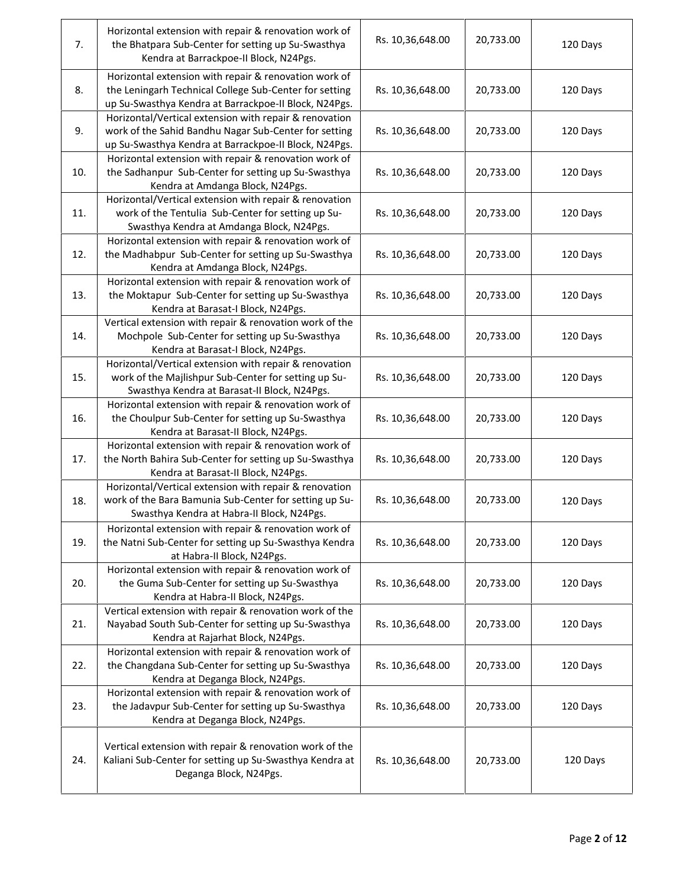| 7.  | Horizontal extension with repair & renovation work of<br>the Bhatpara Sub-Center for setting up Su-Swasthya<br>Kendra at Barrackpoe-II Block, N24Pgs.                    | Rs. 10,36,648.00 | 20,733.00 | 120 Days |
|-----|--------------------------------------------------------------------------------------------------------------------------------------------------------------------------|------------------|-----------|----------|
| 8.  | Horizontal extension with repair & renovation work of<br>the Leningarh Technical College Sub-Center for setting<br>up Su-Swasthya Kendra at Barrackpoe-II Block, N24Pgs. | Rs. 10,36,648.00 | 20,733.00 | 120 Days |
| 9.  | Horizontal/Vertical extension with repair & renovation<br>work of the Sahid Bandhu Nagar Sub-Center for setting<br>up Su-Swasthya Kendra at Barrackpoe-II Block, N24Pgs. | Rs. 10,36,648.00 | 20,733.00 | 120 Days |
| 10. | Horizontal extension with repair & renovation work of<br>the Sadhanpur Sub-Center for setting up Su-Swasthya<br>Kendra at Amdanga Block, N24Pgs.                         | Rs. 10,36,648.00 | 20,733.00 | 120 Days |
| 11. | Horizontal/Vertical extension with repair & renovation<br>work of the Tentulia Sub-Center for setting up Su-<br>Swasthya Kendra at Amdanga Block, N24Pgs.                | Rs. 10,36,648.00 | 20,733.00 | 120 Days |
| 12. | Horizontal extension with repair & renovation work of<br>the Madhabpur Sub-Center for setting up Su-Swasthya<br>Kendra at Amdanga Block, N24Pgs.                         | Rs. 10,36,648.00 | 20,733.00 | 120 Days |
| 13. | Horizontal extension with repair & renovation work of<br>the Moktapur Sub-Center for setting up Su-Swasthya<br>Kendra at Barasat-I Block, N24Pgs.                        | Rs. 10,36,648.00 | 20,733.00 | 120 Days |
| 14. | Vertical extension with repair & renovation work of the<br>Mochpole Sub-Center for setting up Su-Swasthya<br>Kendra at Barasat-I Block, N24Pgs.                          | Rs. 10,36,648.00 | 20,733.00 | 120 Days |
| 15. | Horizontal/Vertical extension with repair & renovation<br>work of the Majlishpur Sub-Center for setting up Su-<br>Swasthya Kendra at Barasat-II Block, N24Pgs.           | Rs. 10,36,648.00 | 20,733.00 | 120 Days |
| 16. | Horizontal extension with repair & renovation work of<br>the Choulpur Sub-Center for setting up Su-Swasthya<br>Kendra at Barasat-II Block, N24Pgs.                       | Rs. 10,36,648.00 | 20,733.00 | 120 Days |
| 17. | Horizontal extension with repair & renovation work of<br>the North Bahira Sub-Center for setting up Su-Swasthya<br>Kendra at Barasat-II Block, N24Pgs.                   | Rs. 10,36,648.00 | 20,733.00 | 120 Days |
| 18. | Horizontal/Vertical extension with repair & renovation<br>work of the Bara Bamunia Sub-Center for setting up Su-<br>Swasthya Kendra at Habra-II Block, N24Pgs.           | Rs. 10,36,648.00 | 20,733.00 | 120 Days |
| 19. | Horizontal extension with repair & renovation work of<br>the Natni Sub-Center for setting up Su-Swasthya Kendra<br>at Habra-II Block, N24Pgs.                            | Rs. 10,36,648.00 | 20,733.00 | 120 Days |
| 20. | Horizontal extension with repair & renovation work of<br>the Guma Sub-Center for setting up Su-Swasthya<br>Kendra at Habra-II Block, N24Pgs.                             | Rs. 10,36,648.00 | 20,733.00 | 120 Days |
| 21. | Vertical extension with repair & renovation work of the<br>Nayabad South Sub-Center for setting up Su-Swasthya<br>Kendra at Rajarhat Block, N24Pgs.                      | Rs. 10,36,648.00 | 20,733.00 | 120 Days |
| 22. | Horizontal extension with repair & renovation work of<br>the Changdana Sub-Center for setting up Su-Swasthya<br>Kendra at Deganga Block, N24Pgs.                         | Rs. 10,36,648.00 | 20,733.00 | 120 Days |
| 23. | Horizontal extension with repair & renovation work of<br>the Jadavpur Sub-Center for setting up Su-Swasthya<br>Kendra at Deganga Block, N24Pgs.                          | Rs. 10,36,648.00 | 20,733.00 | 120 Days |
| 24. | Vertical extension with repair & renovation work of the<br>Kaliani Sub-Center for setting up Su-Swasthya Kendra at<br>Deganga Block, N24Pgs.                             | Rs. 10,36,648.00 | 20,733.00 | 120 Days |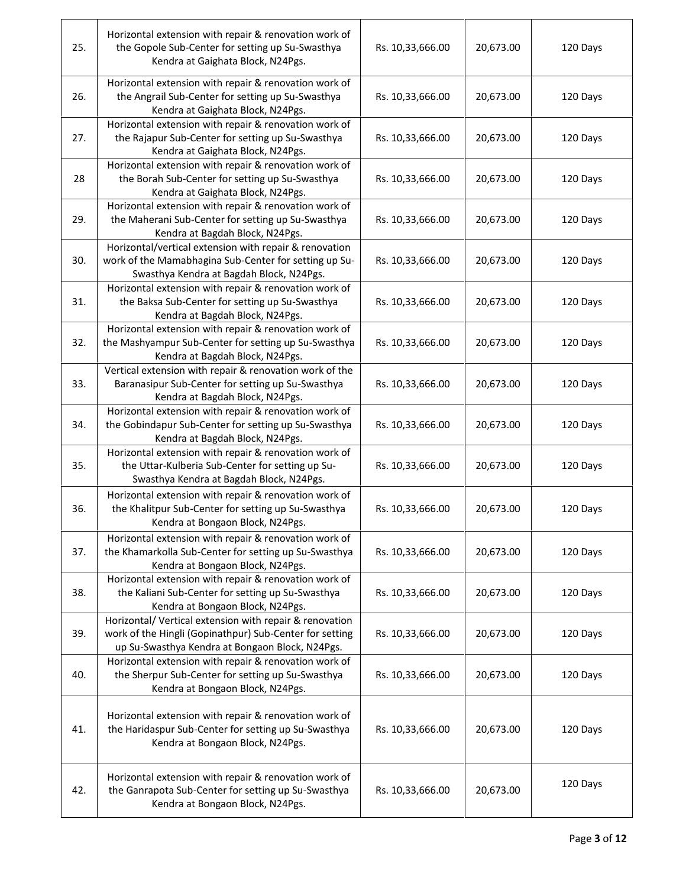| 25. | Horizontal extension with repair & renovation work of<br>the Gopole Sub-Center for setting up Su-Swasthya<br>Kendra at Gaighata Block, N24Pgs.                        | Rs. 10,33,666.00 | 20,673.00 | 120 Days |
|-----|-----------------------------------------------------------------------------------------------------------------------------------------------------------------------|------------------|-----------|----------|
| 26. | Horizontal extension with repair & renovation work of<br>the Angrail Sub-Center for setting up Su-Swasthya<br>Kendra at Gaighata Block, N24Pgs.                       | Rs. 10,33,666.00 | 20,673.00 | 120 Days |
| 27. | Horizontal extension with repair & renovation work of<br>the Rajapur Sub-Center for setting up Su-Swasthya<br>Kendra at Gaighata Block, N24Pgs.                       | Rs. 10,33,666.00 | 20,673.00 | 120 Days |
| 28  | Horizontal extension with repair & renovation work of<br>the Borah Sub-Center for setting up Su-Swasthya<br>Kendra at Gaighata Block, N24Pgs.                         | Rs. 10,33,666.00 | 20,673.00 | 120 Days |
| 29. | Horizontal extension with repair & renovation work of<br>the Maherani Sub-Center for setting up Su-Swasthya<br>Kendra at Bagdah Block, N24Pgs.                        | Rs. 10,33,666.00 | 20,673.00 | 120 Days |
| 30. | Horizontal/vertical extension with repair & renovation<br>work of the Mamabhagina Sub-Center for setting up Su-<br>Swasthya Kendra at Bagdah Block, N24Pgs.           | Rs. 10,33,666.00 | 20,673.00 | 120 Days |
| 31. | Horizontal extension with repair & renovation work of<br>the Baksa Sub-Center for setting up Su-Swasthya<br>Kendra at Bagdah Block, N24Pgs.                           | Rs. 10,33,666.00 | 20,673.00 | 120 Days |
| 32. | Horizontal extension with repair & renovation work of<br>the Mashyampur Sub-Center for setting up Su-Swasthya<br>Kendra at Bagdah Block, N24Pgs.                      | Rs. 10,33,666.00 | 20,673.00 | 120 Days |
| 33. | Vertical extension with repair & renovation work of the<br>Baranasipur Sub-Center for setting up Su-Swasthya<br>Kendra at Bagdah Block, N24Pgs.                       | Rs. 10,33,666.00 | 20,673.00 | 120 Days |
| 34. | Horizontal extension with repair & renovation work of<br>the Gobindapur Sub-Center for setting up Su-Swasthya<br>Kendra at Bagdah Block, N24Pgs.                      | Rs. 10,33,666.00 | 20,673.00 | 120 Days |
| 35. | Horizontal extension with repair & renovation work of<br>the Uttar-Kulberia Sub-Center for setting up Su-<br>Swasthya Kendra at Bagdah Block, N24Pgs.                 | Rs. 10,33,666.00 | 20,673.00 | 120 Days |
| 36. | Horizontal extension with repair & renovation work of<br>the Khalitpur Sub-Center for setting up Su-Swasthya<br>Kendra at Bongaon Block, N24Pgs.                      | Rs. 10,33,666.00 | 20,673.00 | 120 Days |
| 37. | Horizontal extension with repair & renovation work of<br>the Khamarkolla Sub-Center for setting up Su-Swasthya<br>Kendra at Bongaon Block, N24Pgs.                    | Rs. 10,33,666.00 | 20,673.00 | 120 Days |
| 38. | Horizontal extension with repair & renovation work of<br>the Kaliani Sub-Center for setting up Su-Swasthya<br>Kendra at Bongaon Block, N24Pgs.                        | Rs. 10,33,666.00 | 20,673.00 | 120 Days |
| 39. | Horizontal/ Vertical extension with repair & renovation<br>work of the Hingli (Gopinathpur) Sub-Center for setting<br>up Su-Swasthya Kendra at Bongaon Block, N24Pgs. | Rs. 10,33,666.00 | 20,673.00 | 120 Days |
| 40. | Horizontal extension with repair & renovation work of<br>the Sherpur Sub-Center for setting up Su-Swasthya<br>Kendra at Bongaon Block, N24Pgs.                        | Rs. 10,33,666.00 | 20,673.00 | 120 Days |
| 41. | Horizontal extension with repair & renovation work of<br>the Haridaspur Sub-Center for setting up Su-Swasthya<br>Kendra at Bongaon Block, N24Pgs.                     | Rs. 10,33,666.00 | 20,673.00 | 120 Days |
| 42. | Horizontal extension with repair & renovation work of<br>the Ganrapota Sub-Center for setting up Su-Swasthya<br>Kendra at Bongaon Block, N24Pgs.                      | Rs. 10,33,666.00 | 20,673.00 | 120 Days |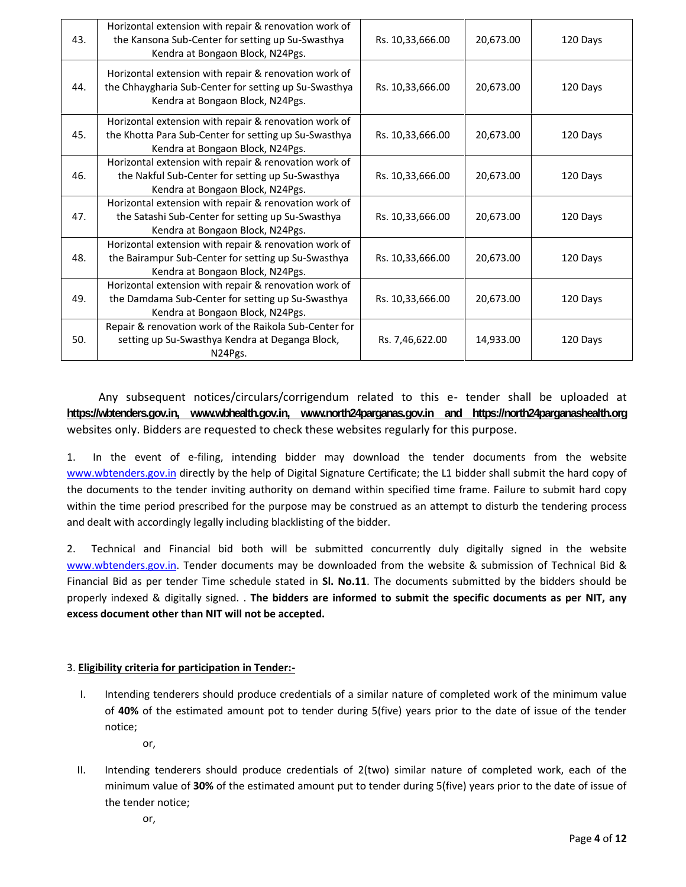| 43. | Horizontal extension with repair & renovation work of<br>the Kansona Sub-Center for setting up Su-Swasthya<br>Kendra at Bongaon Block, N24Pgs.     | Rs. 10,33,666.00 | 20,673.00 | 120 Days |
|-----|----------------------------------------------------------------------------------------------------------------------------------------------------|------------------|-----------|----------|
| 44. | Horizontal extension with repair & renovation work of<br>the Chhaygharia Sub-Center for setting up Su-Swasthya<br>Kendra at Bongaon Block, N24Pgs. | Rs. 10,33,666.00 | 20,673.00 | 120 Days |
| 45. | Horizontal extension with repair & renovation work of<br>the Khotta Para Sub-Center for setting up Su-Swasthya<br>Kendra at Bongaon Block, N24Pgs. | Rs. 10,33,666.00 | 20,673.00 | 120 Days |
| 46. | Horizontal extension with repair & renovation work of<br>the Nakful Sub-Center for setting up Su-Swasthya<br>Kendra at Bongaon Block, N24Pgs.      | Rs. 10,33,666.00 | 20,673.00 | 120 Days |
| 47. | Horizontal extension with repair & renovation work of<br>the Satashi Sub-Center for setting up Su-Swasthya<br>Kendra at Bongaon Block, N24Pgs.     | Rs. 10,33,666.00 | 20,673.00 | 120 Days |
| 48. | Horizontal extension with repair & renovation work of<br>the Bairampur Sub-Center for setting up Su-Swasthya<br>Kendra at Bongaon Block, N24Pgs.   | Rs. 10,33,666.00 | 20,673.00 | 120 Days |
| 49. | Horizontal extension with repair & renovation work of<br>the Damdama Sub-Center for setting up Su-Swasthya<br>Kendra at Bongaon Block, N24Pgs.     | Rs. 10,33,666.00 | 20,673.00 | 120 Days |
| 50. | Repair & renovation work of the Raikola Sub-Center for<br>setting up Su-Swasthya Kendra at Deganga Block,<br>N24Pgs.                               | Rs. 7,46,622.00  | 14,933.00 | 120 Days |

Any subsequent notices/circulars/corrigendum related to this e- tender shall be uploaded at **https://wbtenders.gov.in, www.wbhealth.gov.in, www.north24parganas.gov.in and https://north24parganashealth.org** websites only. Bidders are requested to check these websites regularly for this purpose.

1. In the event of e-filing, intending bidder may download the tender documents from the website www.wbtenders.gov.in directly by the help of Digital Signature Certificate; the L1 bidder shall submit the hard copy of the documents to the tender inviting authority on demand within specified time frame. Failure to submit hard copy within the time period prescribed for the purpose may be construed as an attempt to disturb the tendering process and dealt with accordingly legally including blacklisting of the bidder.

2. Technical and Financial bid both will be submitted concurrently duly digitally signed in the website www.wbtenders.gov.in. Tender documents may be downloaded from the website & submission of Technical Bid & Financial Bid as per tender Time schedule stated in **Sl. No.11**. The documents submitted by the bidders should be properly indexed & digitally signed. . **The bidders are informed to submit the specific documents as per NIT, any excess document other than NIT will not be accepted.**

#### 3. **Eligibility criteria for participation in Tender:-**

- I. Intending tenderers should produce credentials of a similar nature of completed work of the minimum value of **40%** of the estimated amount pot to tender during 5(five) years prior to the date of issue of the tender notice;
	- or,
- II. Intending tenderers should produce credentials of 2(two) similar nature of completed work, each of the minimum value of **30%** of the estimated amount put to tender during 5(five) years prior to the date of issue of the tender notice;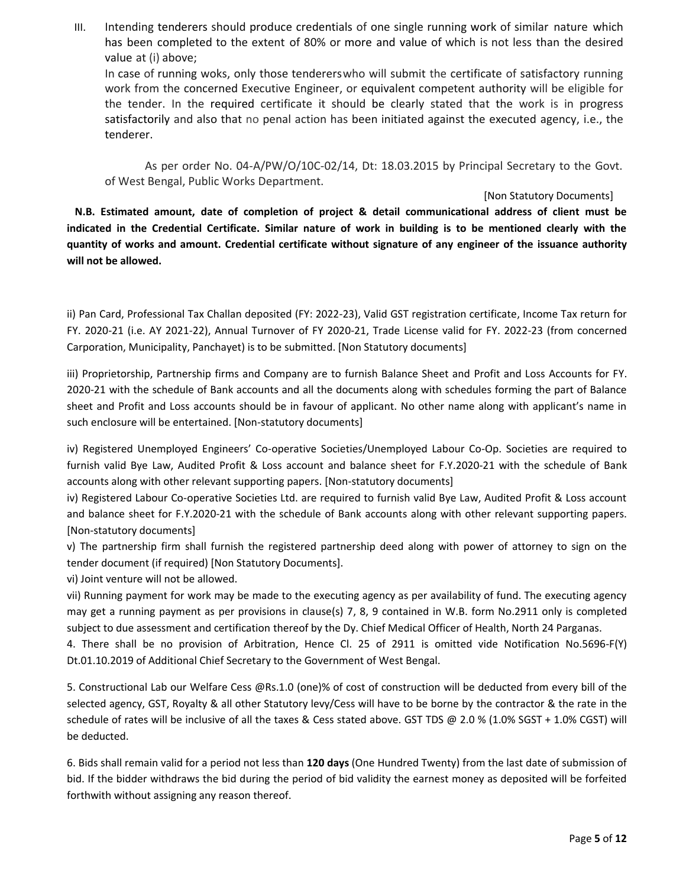III. Intending tenderers should produce credentials of one single running work of similar nature which has been completed to the extent of 80% or more and value of which is not less than the desired value at (i) above;

In case of running woks, only those tendererswho will submit the certificate of satisfactory running work from the concerned Executive Engineer, or equivalent competent authority will be eligible for the tender. In the required certificate it should be clearly stated that the work is in progress satisfactorily and also that no penal action has been initiated against the executed agency, i.e., the tenderer.

As per order No. 04-A/PW/O/10C-02/14, Dt: 18.03.2015 by Principal Secretary to the Govt. of West Bengal, Public Works Department.

#### [Non Statutory Documents]

**N.B. Estimated amount, date of completion of project & detail communicational address of client must be indicated in the Credential Certificate. Similar nature of work in building is to be mentioned clearly with the quantity of works and amount. Credential certificate without signature of any engineer of the issuance authority will not be allowed.**

ii) Pan Card, Professional Tax Challan deposited (FY: 2022-23), Valid GST registration certificate, Income Tax return for FY. 2020-21 (i.e. AY 2021-22), Annual Turnover of FY 2020-21, Trade License valid for FY. 2022-23 (from concerned Carporation, Municipality, Panchayet) is to be submitted. [Non Statutory documents]

iii) Proprietorship, Partnership firms and Company are to furnish Balance Sheet and Profit and Loss Accounts for FY. 2020-21 with the schedule of Bank accounts and all the documents along with schedules forming the part of Balance sheet and Profit and Loss accounts should be in favour of applicant. No other name along with applicant's name in such enclosure will be entertained. [Non-statutory documents]

iv) Registered Unemployed Engineers' Co-operative Societies/Unemployed Labour Co-Op. Societies are required to furnish valid Bye Law, Audited Profit & Loss account and balance sheet for F.Y.2020-21 with the schedule of Bank accounts along with other relevant supporting papers. [Non-statutory documents]

iv) Registered Labour Co-operative Societies Ltd. are required to furnish valid Bye Law, Audited Profit & Loss account and balance sheet for F.Y.2020-21 with the schedule of Bank accounts along with other relevant supporting papers. [Non-statutory documents]

v) The partnership firm shall furnish the registered partnership deed along with power of attorney to sign on the tender document (if required) [Non Statutory Documents].

vi) Joint venture will not be allowed.

vii) Running payment for work may be made to the executing agency as per availability of fund. The executing agency may get a running payment as per provisions in clause(s) 7, 8, 9 contained in W.B. form No.2911 only is completed subject to due assessment and certification thereof by the Dy. Chief Medical Officer of Health, North 24 Parganas.

4. There shall be no provision of Arbitration, Hence Cl. 25 of 2911 is omitted vide Notification No.5696-F(Y) Dt.01.10.2019 of Additional Chief Secretary to the Government of West Bengal.

5. Constructional Lab our Welfare Cess @Rs.1.0 (one)% of cost of construction will be deducted from every bill of the selected agency, GST, Royalty & all other Statutory levy/Cess will have to be borne by the contractor & the rate in the schedule of rates will be inclusive of all the taxes & Cess stated above. GST TDS @ 2.0 % (1.0% SGST + 1.0% CGST) will be deducted.

6. Bids shall remain valid for a period not less than **120 days** (One Hundred Twenty) from the last date of submission of bid. If the bidder withdraws the bid during the period of bid validity the earnest money as deposited will be forfeited forthwith without assigning any reason thereof.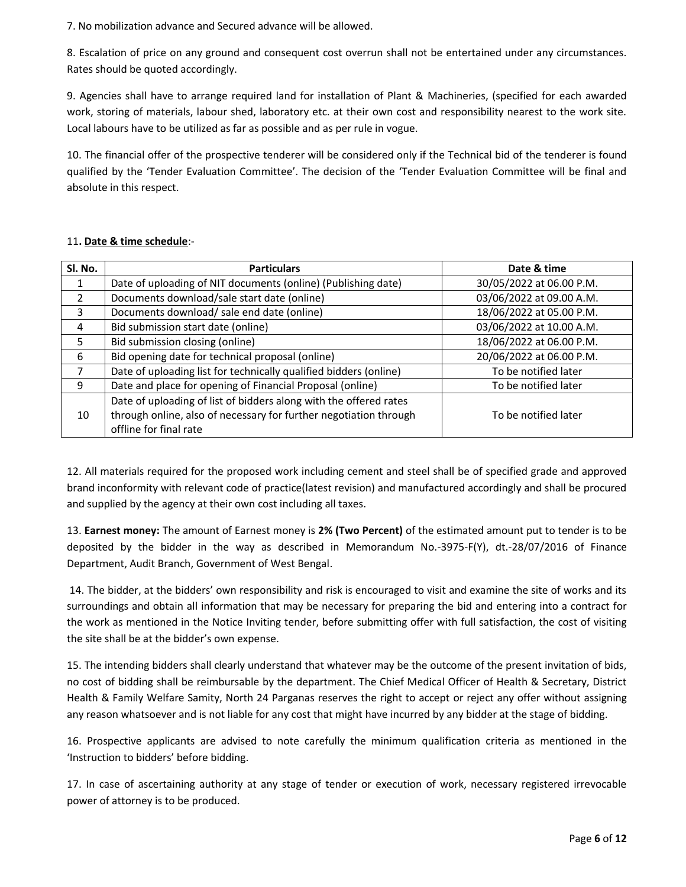7. No mobilization advance and Secured advance will be allowed.

8. Escalation of price on any ground and consequent cost overrun shall not be entertained under any circumstances. Rates should be quoted accordingly.

9. Agencies shall have to arrange required land for installation of Plant & Machineries, (specified for each awarded work, storing of materials, labour shed, laboratory etc. at their own cost and responsibility nearest to the work site. Local labours have to be utilized as far as possible and as per rule in vogue.

10. The financial offer of the prospective tenderer will be considered only if the Technical bid of the tenderer is found qualified by the 'Tender Evaluation Committee'. The decision of the 'Tender Evaluation Committee will be final and absolute in this respect.

#### 11**. Date & time schedule**:-

| SI. No. | <b>Particulars</b>                                                | Date & time              |
|---------|-------------------------------------------------------------------|--------------------------|
|         | Date of uploading of NIT documents (online) (Publishing date)     | 30/05/2022 at 06.00 P.M. |
|         | Documents download/sale start date (online)                       | 03/06/2022 at 09.00 A.M. |
| 3       | Documents download/ sale end date (online)                        | 18/06/2022 at 05.00 P.M. |
| 4       | Bid submission start date (online)                                | 03/06/2022 at 10.00 A.M. |
| 5       | Bid submission closing (online)                                   | 18/06/2022 at 06.00 P.M. |
| 6       | Bid opening date for technical proposal (online)                  | 20/06/2022 at 06.00 P.M. |
|         | Date of uploading list for technically qualified bidders (online) | To be notified later     |
| 9       | Date and place for opening of Financial Proposal (online)         | To be notified later     |
|         | Date of uploading of list of bidders along with the offered rates |                          |
| 10      | through online, also of necessary for further negotiation through | To be notified later     |
|         | offline for final rate                                            |                          |

12. All materials required for the proposed work including cement and steel shall be of specified grade and approved brand inconformity with relevant code of practice(latest revision) and manufactured accordingly and shall be procured and supplied by the agency at their own cost including all taxes.

13. **Earnest money:** The amount of Earnest money is **2% (Two Percent)** of the estimated amount put to tender is to be deposited by the bidder in the way as described in Memorandum No.-3975-F(Y), dt.-28/07/2016 of Finance Department, Audit Branch, Government of West Bengal.

14. The bidder, at the bidders' own responsibility and risk is encouraged to visit and examine the site of works and its surroundings and obtain all information that may be necessary for preparing the bid and entering into a contract for the work as mentioned in the Notice Inviting tender, before submitting offer with full satisfaction, the cost of visiting the site shall be at the bidder's own expense.

15. The intending bidders shall clearly understand that whatever may be the outcome of the present invitation of bids, no cost of bidding shall be reimbursable by the department. The Chief Medical Officer of Health & Secretary, District Health & Family Welfare Samity, North 24 Parganas reserves the right to accept or reject any offer without assigning any reason whatsoever and is not liable for any cost that might have incurred by any bidder at the stage of bidding.

16. Prospective applicants are advised to note carefully the minimum qualification criteria as mentioned in the 'Instruction to bidders' before bidding.

17. In case of ascertaining authority at any stage of tender or execution of work, necessary registered irrevocable power of attorney is to be produced.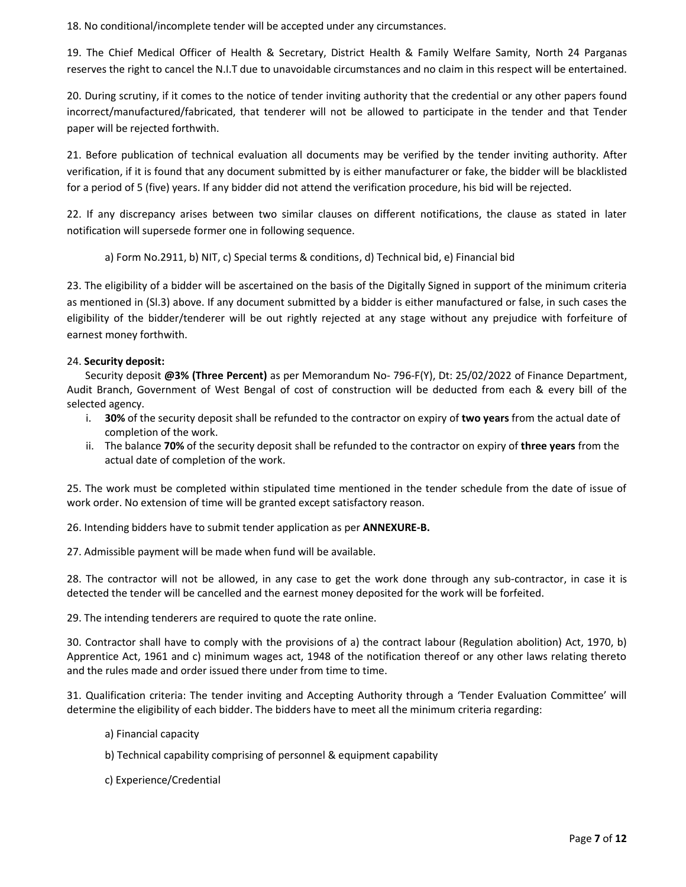18. No conditional/incomplete tender will be accepted under any circumstances.

19. The Chief Medical Officer of Health & Secretary, District Health & Family Welfare Samity, North 24 Parganas reserves the right to cancel the N.I.T due to unavoidable circumstances and no claim in this respect will be entertained.

20. During scrutiny, if it comes to the notice of tender inviting authority that the credential or any other papers found incorrect/manufactured/fabricated, that tenderer will not be allowed to participate in the tender and that Tender paper will be rejected forthwith.

21. Before publication of technical evaluation all documents may be verified by the tender inviting authority. After verification, if it is found that any document submitted by is either manufacturer or fake, the bidder will be blacklisted for a period of 5 (five) years. If any bidder did not attend the verification procedure, his bid will be rejected.

22. If any discrepancy arises between two similar clauses on different notifications, the clause as stated in later notification will supersede former one in following sequence.

a) Form No.2911, b) NIT, c) Special terms & conditions, d) Technical bid, e) Financial bid

23. The eligibility of a bidder will be ascertained on the basis of the Digitally Signed in support of the minimum criteria as mentioned in (Sl.3) above. If any document submitted by a bidder is either manufactured or false, in such cases the eligibility of the bidder/tenderer will be out rightly rejected at any stage without any prejudice with forfeiture of earnest money forthwith.

#### 24. **Security deposit:**

Security deposit **@3% (Three Percent)** as per Memorandum No- 796-F(Y), Dt: 25/02/2022 of Finance Department, Audit Branch, Government of West Bengal of cost of construction will be deducted from each & every bill of the selected agency.

- i. **30%** of the security deposit shall be refunded to the contractor on expiry of **two years** from the actual date of completion of the work.
- ii. The balance **70%** of the security deposit shall be refunded to the contractor on expiry of **three years** from the actual date of completion of the work.

25. The work must be completed within stipulated time mentioned in the tender schedule from the date of issue of work order. No extension of time will be granted except satisfactory reason.

26. Intending bidders have to submit tender application as per **ANNEXURE-B.**

27. Admissible payment will be made when fund will be available.

28. The contractor will not be allowed, in any case to get the work done through any sub-contractor, in case it is detected the tender will be cancelled and the earnest money deposited for the work will be forfeited.

29. The intending tenderers are required to quote the rate online.

30. Contractor shall have to comply with the provisions of a) the contract labour (Regulation abolition) Act, 1970, b) Apprentice Act, 1961 and c) minimum wages act, 1948 of the notification thereof or any other laws relating thereto and the rules made and order issued there under from time to time.

31. Qualification criteria: The tender inviting and Accepting Authority through a 'Tender Evaluation Committee' will determine the eligibility of each bidder. The bidders have to meet all the minimum criteria regarding:

- a) Financial capacity
- b) Technical capability comprising of personnel & equipment capability
- c) Experience/Credential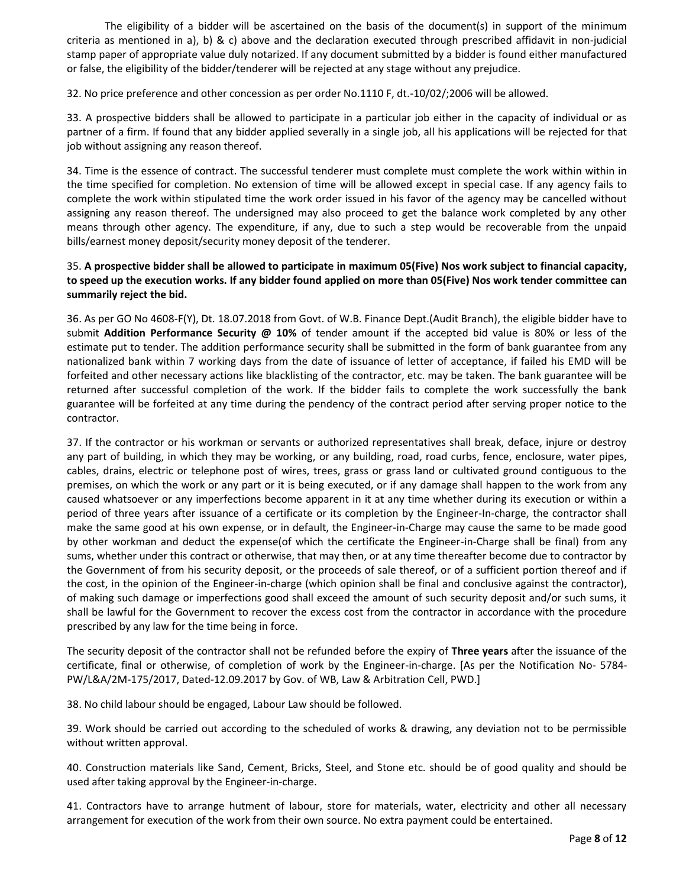The eligibility of a bidder will be ascertained on the basis of the document(s) in support of the minimum criteria as mentioned in a), b) & c) above and the declaration executed through prescribed affidavit in non-judicial stamp paper of appropriate value duly notarized. If any document submitted by a bidder is found either manufactured or false, the eligibility of the bidder/tenderer will be rejected at any stage without any prejudice.

32. No price preference and other concession as per order No.1110 F, dt.-10/02/;2006 will be allowed.

33. A prospective bidders shall be allowed to participate in a particular job either in the capacity of individual or as partner of a firm. If found that any bidder applied severally in a single job, all his applications will be rejected for that job without assigning any reason thereof.

34. Time is the essence of contract. The successful tenderer must complete must complete the work within within in the time specified for completion. No extension of time will be allowed except in special case. If any agency fails to complete the work within stipulated time the work order issued in his favor of the agency may be cancelled without assigning any reason thereof. The undersigned may also proceed to get the balance work completed by any other means through other agency. The expenditure, if any, due to such a step would be recoverable from the unpaid bills/earnest money deposit/security money deposit of the tenderer.

#### 35. **A prospective bidder shall be allowed to participate in maximum 05(Five) Nos work subject to financial capacity, to speed up the execution works. If any bidder found applied on more than 05(Five) Nos work tender committee can summarily reject the bid.**

36. As per GO No 4608-F(Y), Dt. 18.07.2018 from Govt. of W.B. Finance Dept.(Audit Branch), the eligible bidder have to submit **Addition Performance Security @ 10%** of tender amount if the accepted bid value is 80% or less of the estimate put to tender. The addition performance security shall be submitted in the form of bank guarantee from any nationalized bank within 7 working days from the date of issuance of letter of acceptance, if failed his EMD will be forfeited and other necessary actions like blacklisting of the contractor, etc. may be taken. The bank guarantee will be returned after successful completion of the work. If the bidder fails to complete the work successfully the bank guarantee will be forfeited at any time during the pendency of the contract period after serving proper notice to the contractor.

37. If the contractor or his workman or servants or authorized representatives shall break, deface, injure or destroy any part of building, in which they may be working, or any building, road, road curbs, fence, enclosure, water pipes, cables, drains, electric or telephone post of wires, trees, grass or grass land or cultivated ground contiguous to the premises, on which the work or any part or it is being executed, or if any damage shall happen to the work from any caused whatsoever or any imperfections become apparent in it at any time whether during its execution or within a period of three years after issuance of a certificate or its completion by the Engineer-In-charge, the contractor shall make the same good at his own expense, or in default, the Engineer-in-Charge may cause the same to be made good by other workman and deduct the expense(of which the certificate the Engineer-in-Charge shall be final) from any sums, whether under this contract or otherwise, that may then, or at any time thereafter become due to contractor by the Government of from his security deposit, or the proceeds of sale thereof, or of a sufficient portion thereof and if the cost, in the opinion of the Engineer-in-charge (which opinion shall be final and conclusive against the contractor), of making such damage or imperfections good shall exceed the amount of such security deposit and/or such sums, it shall be lawful for the Government to recover the excess cost from the contractor in accordance with the procedure prescribed by any law for the time being in force.

The security deposit of the contractor shall not be refunded before the expiry of **Three years** after the issuance of the certificate, final or otherwise, of completion of work by the Engineer-in-charge. [As per the Notification No- 5784- PW/L&A/2M-175/2017, Dated-12.09.2017 by Gov. of WB, Law & Arbitration Cell, PWD.]

38. No child labour should be engaged, Labour Law should be followed.

39. Work should be carried out according to the scheduled of works & drawing, any deviation not to be permissible without written approval.

40. Construction materials like Sand, Cement, Bricks, Steel, and Stone etc. should be of good quality and should be used after taking approval by the Engineer-in-charge.

41. Contractors have to arrange hutment of labour, store for materials, water, electricity and other all necessary arrangement for execution of the work from their own source. No extra payment could be entertained.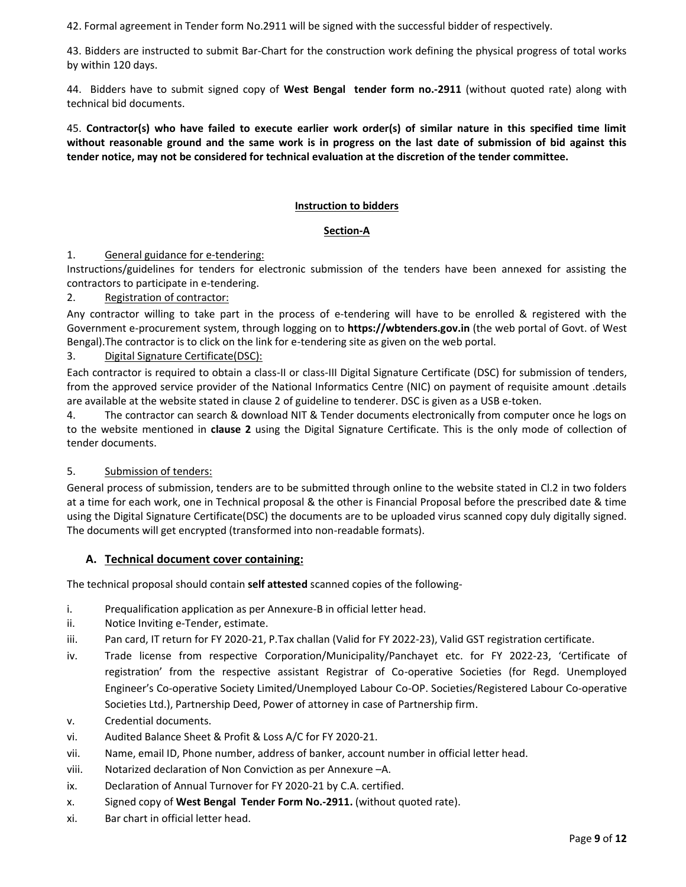42. Formal agreement in Tender form No.2911 will be signed with the successful bidder of respectively.

43. Bidders are instructed to submit Bar-Chart for the construction work defining the physical progress of total works by within 120 days.

44. Bidders have to submit signed copy of **West Bengal tender form no.-2911** (without quoted rate) along with technical bid documents.

45. **Contractor(s) who have failed to execute earlier work order(s) of similar nature in this specified time limit without reasonable ground and the same work is in progress on the last date of submission of bid against this tender notice, may not be considered for technical evaluation at the discretion of the tender committee.**

#### **Instruction to bidders**

#### **Section-A**

#### 1. General guidance for e-tendering:

Instructions/guidelines for tenders for electronic submission of the tenders have been annexed for assisting the contractors to participate in e-tendering.

#### 2. Registration of contractor:

Any contractor willing to take part in the process of e-tendering will have to be enrolled & registered with the Government e-procurement system, through logging on to **https://wbtenders.gov.in** (the web portal of Govt. of West Bengal).The contractor is to click on the link for e-tendering site as given on the web portal.

3. Digital Signature Certificate(DSC):

Each contractor is required to obtain a class-II or class-III Digital Signature Certificate (DSC) for submission of tenders, from the approved service provider of the National Informatics Centre (NIC) on payment of requisite amount .details are available at the website stated in clause 2 of guideline to tenderer. DSC is given as a USB e-token.

4. The contractor can search & download NIT & Tender documents electronically from computer once he logs on to the website mentioned in **clause 2** using the Digital Signature Certificate. This is the only mode of collection of tender documents.

#### 5. Submission of tenders:

General process of submission, tenders are to be submitted through online to the website stated in Cl.2 in two folders at a time for each work, one in Technical proposal & the other is Financial Proposal before the prescribed date & time using the Digital Signature Certificate(DSC) the documents are to be uploaded virus scanned copy duly digitally signed. The documents will get encrypted (transformed into non-readable formats).

#### **A. Technical document cover containing:**

The technical proposal should contain **self attested** scanned copies of the following-

- i. Prequalification application as per Annexure-B in official letter head.
- ii. Notice Inviting e-Tender, estimate.
- iii. Pan card, IT return for FY 2020-21, P.Tax challan (Valid for FY 2022-23), Valid GST registration certificate.
- iv. Trade license from respective Corporation/Municipality/Panchayet etc. for FY 2022-23, 'Certificate of registration' from the respective assistant Registrar of Co-operative Societies (for Regd. Unemployed Engineer's Co-operative Society Limited/Unemployed Labour Co-OP. Societies/Registered Labour Co-operative Societies Ltd.), Partnership Deed, Power of attorney in case of Partnership firm.
- v. Credential documents.
- vi. Audited Balance Sheet & Profit & Loss A/C for FY 2020-21.
- vii. Name, email ID, Phone number, address of banker, account number in official letter head.
- viii. Notarized declaration of Non Conviction as per Annexure –A.
- ix. Declaration of Annual Turnover for FY 2020-21 by C.A. certified.
- x. Signed copy of **West Bengal Tender Form No.-2911.** (without quoted rate).
- xi. Bar chart in official letter head.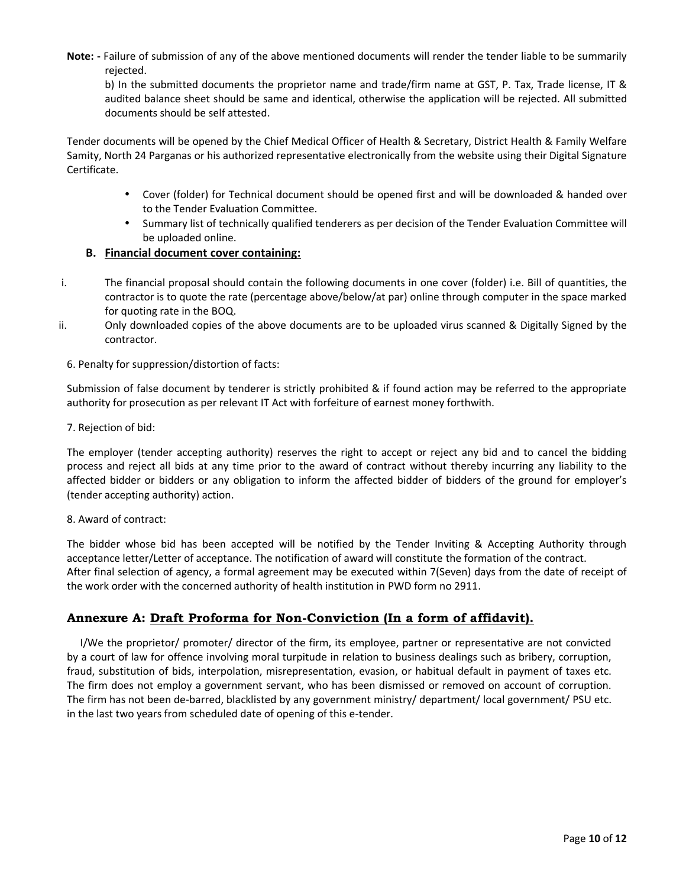**Note: -** Failure of submission of any of the above mentioned documents will render the tender liable to be summarily rejected.

b) In the submitted documents the proprietor name and trade/firm name at GST, P. Tax, Trade license, IT & audited balance sheet should be same and identical, otherwise the application will be rejected. All submitted documents should be self attested.

Tender documents will be opened by the Chief Medical Officer of Health & Secretary, District Health & Family Welfare Samity, North 24 Parganas or his authorized representative electronically from the website using their Digital Signature Certificate.

- Cover (folder) for Technical document should be opened first and will be downloaded & handed over to the Tender Evaluation Committee.
- Summary list of technically qualified tenderers as per decision of the Tender Evaluation Committee will be uploaded online.

#### **B. Financial document cover containing:**

- i. The financial proposal should contain the following documents in one cover (folder) i.e. Bill of quantities, the contractor is to quote the rate (percentage above/below/at par) online through computer in the space marked for quoting rate in the BOQ.
- ii. Only downloaded copies of the above documents are to be uploaded virus scanned & Digitally Signed by the contractor.

#### 6. Penalty for suppression/distortion of facts:

Submission of false document by tenderer is strictly prohibited & if found action may be referred to the appropriate authority for prosecution as per relevant IT Act with forfeiture of earnest money forthwith.

#### 7. Rejection of bid:

The employer (tender accepting authority) reserves the right to accept or reject any bid and to cancel the bidding process and reject all bids at any time prior to the award of contract without thereby incurring any liability to the affected bidder or bidders or any obligation to inform the affected bidder of bidders of the ground for employer's (tender accepting authority) action.

#### 8. Award of contract:

The bidder whose bid has been accepted will be notified by the Tender Inviting & Accepting Authority through acceptance letter/Letter of acceptance. The notification of award will constitute the formation of the contract. After final selection of agency, a formal agreement may be executed within 7(Seven) days from the date of receipt of the work order with the concerned authority of health institution in PWD form no 2911.

#### **Annexure A: Draft Proforma for Non-Conviction (In a form of affidavit).**

I/We the proprietor/ promoter/ director of the firm, its employee, partner or representative are not convicted by a court of law for offence involving moral turpitude in relation to business dealings such as bribery, corruption, fraud, substitution of bids, interpolation, misrepresentation, evasion, or habitual default in payment of taxes etc. The firm does not employ a government servant, who has been dismissed or removed on account of corruption. The firm has not been de-barred, blacklisted by any government ministry/ department/ local government/ PSU etc. in the last two years from scheduled date of opening of this e-tender.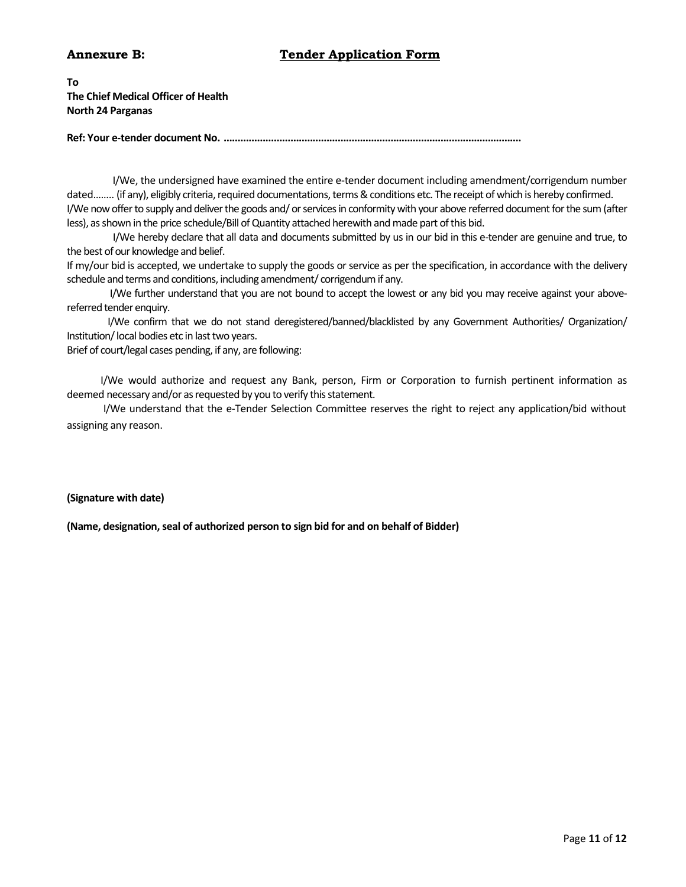#### **Annexure B: Tender Application Form**

**To The Chief Medical Officer of Health North 24 Parganas**

**Ref: Your e-tender document No. ...........................................................................................................**

I/We, the undersigned have examined the entire e-tender document including amendment/corrigendum number dated…….. (if any), eligibly criteria, required documentations, terms & conditions etc. The receipt of which is hereby confirmed. I/We now offer to supply and deliver the goods and/ or services in conformity with your above referred document for the sum(after less), as shown in the price schedule/Bill of Quantity attached herewith and made part of this bid.

I/We hereby declare that all data and documents submitted by us in our bid in this e-tender are genuine and true, to the best of our knowledge and belief.

If my/our bid is accepted, we undertake to supply the goods or service as per the specification, in accordance with the delivery schedule and terms and conditions, including amendment/ corrigendum if any.

I/We further understand that you are not bound to accept the lowest or any bid you may receive against your above referred tender enquiry.

I/We confirm that we do not stand deregistered/banned/blacklisted by any Government Authorities/ Organization/ Institution/local bodies etc in last two years.

Brief of court/legal cases pending, if any, are following:

I/We would authorize and request any Bank, person, Firm or Corporation to furnish pertinent information as deemed necessary and/or as requested by you to verify this statement.

I/We understand that the e-Tender Selection Committee reserves the right to reject any application/bid without assigning any reason.

#### **(Signature with date)**

**(Name, designation, seal of authorized person to sign bid for and on behalf of Bidder)**